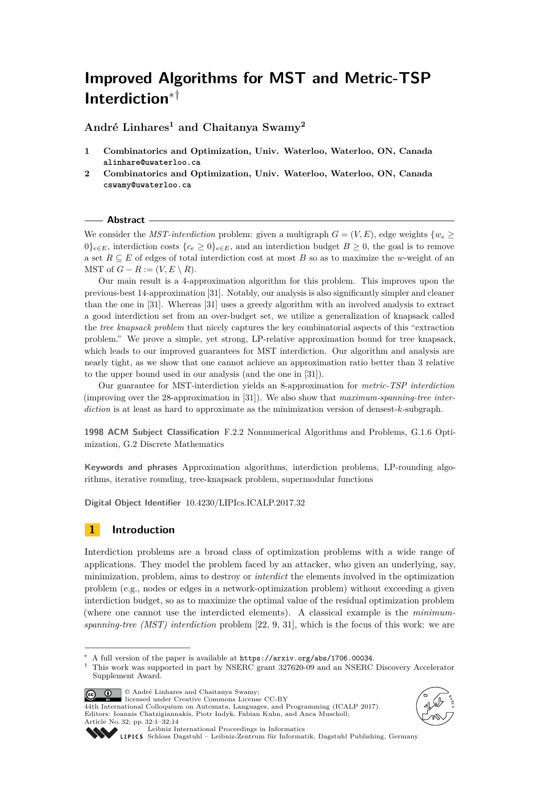# **Improved Algorithms for MST and Metric-TSP Interdiction**∗†

**André Linhares<sup>1</sup> and Chaitanya Swamy<sup>2</sup>**

- **1 Combinatorics and Optimization, Univ. Waterloo, Waterloo, ON, Canada alinhare@uwaterloo.ca**
- **2 Combinatorics and Optimization, Univ. Waterloo, Waterloo, ON, Canada cswamy@uwaterloo.ca**

#### **Abstract**

We consider the *MST-interdiction* problem: given a multigraph  $G = (V, E)$ , edge weights  $\{w_e \geq$  $0\}_{e\in E}$ , interdiction costs  $\{c_e \geq 0\}_{e\in E}$ , and an interdiction budget  $B \geq 0$ , the goal is to remove a set *R* ⊆ *E* of edges of total interdiction cost at most *B* so as to maximize the *w*-weight of an MST of  $G - R := (V, E \setminus R)$ .

Our main result is a 4-approximation algorithm for this problem. This improves upon the previous-best 14-approximation [\[31\]](#page-13-0). Notably, our analysis is also significantly simpler and cleaner than the one in [\[31\]](#page-13-0). Whereas [\[31\]](#page-13-0) uses a greedy algorithm with an involved analysis to extract a good interdiction set from an over-budget set, we utilize a generalization of knapsack called the *tree knapsack problem* that nicely captures the key combinatorial aspects of this "extraction problem." We prove a simple, yet strong, LP-relative approximation bound for tree knapsack, which leads to our improved guarantees for MST interdiction. Our algorithm and analysis are nearly tight, as we show that one cannot achieve an approximation ratio better than 3 relative to the upper bound used in our analysis (and the one in [\[31\]](#page-13-0)).

Our guarantee for MST-interdiction yields an 8-approximation for *metric-TSP interdiction* (improving over the 28-approximation in [\[31\]](#page-13-0)). We also show that *maximum-spanning-tree interdiction* is at least as hard to approximate as the minimization version of densest-*k*-subgraph.

**1998 ACM Subject Classification** F.2.2 Nonnumerical Algorithms and Problems, G.1.6 Optimization, G.2 Discrete Mathematics

**Keywords and phrases** Approximation algorithms, interdiction problems, LP-rounding algorithms, iterative rounding, tree-knapsack problem, supermodular functions

**Digital Object Identifier** [10.4230/LIPIcs.ICALP.2017.32](http://dx.doi.org/10.4230/LIPIcs.ICALP.2017.32)

# **1 Introduction**

Interdiction problems are a broad class of optimization problems with a wide range of applications. They model the problem faced by an attacker, who given an underlying, say, minimization, problem, aims to destroy or *interdict* the elements involved in the optimization problem (e.g., nodes or edges in a network-optimization problem) without exceeding a given interdiction budget, so as to maximize the optimal value of the residual optimization problem (where one cannot use the interdicted elements). A classical example is the *minimumspanning-tree (MST) interdiction* problem [\[22,](#page-13-1) [9,](#page-12-0) [31\]](#page-13-0), which is the focus of this work: we are

© André Linhares and Chaitanya Swamy;

 $\boxed{6}$   $\boxed{0}$ licensed under Creative Commons License CC-BY 44th International Colloquium on Automata, Languages, and Programming (ICALP 2017). Editors: Ioannis Chatzigiannakis, Piotr Indyk, Fabian Kuhn, and Anca Muscholl; Article No. 32; pp. 32:1–32[:14](#page-13-2)





[Leibniz International Proceedings in Informatics](http://www.dagstuhl.de/lipics/)

[Schloss Dagstuhl – Leibniz-Zentrum für Informatik, Dagstuhl Publishing, Germany](http://www.dagstuhl.de)

A full version of the paper is available at  $https://arxiv.org/abs/1706.00034$ .

<sup>†</sup> This work was supported in part by NSERC grant 327620-09 and an NSERC Discovery Accelerator Supplement Award.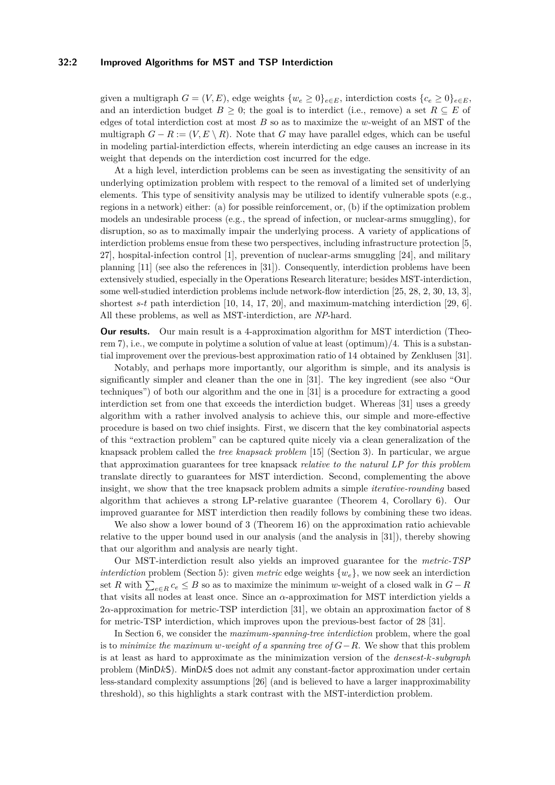## **32:2 Improved Algorithms for MST and TSP Interdiction**

given a multigraph  $G = (V, E)$ , edge weights  $\{w_e \geq 0\}_{e \in E}$ , interdiction costs  $\{c_e \geq 0\}_{e \in E}$ , and an interdiction budget  $B \geq 0$ ; the goal is to interdict (i.e., remove) a set  $R \subseteq E$  of edges of total interdiction cost at most *B* so as to maximize the *w*-weight of an MST of the multigraph  $G - R := (V, E \setminus R)$ . Note that *G* may have parallel edges, which can be useful in modeling partial-interdiction effects, wherein interdicting an edge causes an increase in its weight that depends on the interdiction cost incurred for the edge.

At a high level, interdiction problems can be seen as investigating the sensitivity of an underlying optimization problem with respect to the removal of a limited set of underlying elements. This type of sensitivity analysis may be utilized to identify vulnerable spots (e.g., regions in a network) either: (a) for possible reinforcement, or, (b) if the optimization problem models an undesirable process (e.g., the spread of infection, or nuclear-arms smuggling), for disruption, so as to maximally impair the underlying process. A variety of applications of interdiction problems ensue from these two perspectives, including infrastructure protection [\[5,](#page-12-1) [27\]](#page-13-3), hospital-infection control [\[1\]](#page-12-2), prevention of nuclear-arms smuggling [\[24\]](#page-13-4), and military planning [\[11\]](#page-12-3) (see also the references in [\[31\]](#page-13-0)). Consequently, interdiction problems have been extensively studied, especially in the Operations Research literature; besides MST-interdiction, some well-studied interdiction problems include network-flow interdiction [\[25,](#page-13-5) [28,](#page-13-6) [2,](#page-12-4) [30,](#page-13-7) [13,](#page-12-5) [3\]](#page-12-6), shortest *s*-*t* path interdiction [\[10,](#page-12-7) [14,](#page-12-8) [17,](#page-12-9) [20\]](#page-13-8), and maximum-matching interdiction [\[29,](#page-13-9) [6\]](#page-12-10). All these problems, as well as MST-interdiction, are *NP*-hard.

**Our results.** Our main result is a 4-approximation algorithm for MST interdiction (Theorem [7\)](#page-6-0), i.e., we compute in polytime a solution of value at least (optimum)/4. This is a substantial improvement over the previous-best approximation ratio of 14 obtained by Zenklusen [\[31\]](#page-13-0).

Notably, and perhaps more importantly, our algorithm is simple, and its analysis is significantly simpler and cleaner than the one in [\[31\]](#page-13-0). The key ingredient (see also "Our techniques") of both our algorithm and the one in [\[31\]](#page-13-0) is a procedure for extracting a good interdiction set from one that exceeds the interdiction budget. Whereas [\[31\]](#page-13-0) uses a greedy algorithm with a rather involved analysis to achieve this, our simple and more-effective procedure is based on two chief insights. First, we discern that the key combinatorial aspects of this "extraction problem" can be captured quite nicely via a clean generalization of the knapsack problem called the *tree knapsack problem* [\[15\]](#page-12-11) (Section [3\)](#page-5-0). In particular, we argue that approximation guarantees for tree knapsack *relative to the natural LP for this problem* translate directly to guarantees for MST interdiction. Second, complementing the above insight, we show that the tree knapsack problem admits a simple *iterative-rounding* based algorithm that achieves a strong LP-relative guarantee (Theorem [4,](#page-5-1) Corollary [6\)](#page-6-1). Our improved guarantee for MST interdiction then readily follows by combining these two ideas.

We also show a lower bound of 3 (Theorem [16\)](#page-10-0) on the approximation ratio achievable relative to the upper bound used in our analysis (and the analysis in [\[31\]](#page-13-0)), thereby showing that our algorithm and analysis are nearly tight.

Our MST-interdiction result also yields an improved guarantee for the *metric-TSP interdiction* problem (Section [5\)](#page-10-1): given *metric* edge weights  $\{w_e\}$ , we now seek an interdiction set *R* with  $\sum_{e \in R} c_e \leq B$  so as to maximize the minimum *w*-weight of a closed walk in  $G - R$ that visits all nodes at least once. Since an *α*-approximation for MST interdiction yields a 2*α*-approximation for metric-TSP interdiction [\[31\]](#page-13-0), we obtain an approximation factor of 8 for metric-TSP interdiction, which improves upon the previous-best factor of 28 [\[31\]](#page-13-0).

In Section [6,](#page-10-2) we consider the *maximum-spanning-tree interdiction* problem, where the goal is to *minimize the maximum w-weight of a spanning tree of G*−*R*. We show that this problem is at least as hard to approximate as the minimization version of the *densest-k-subgraph* problem (MinD*k*S). MinD*k*S does not admit any constant-factor approximation under certain less-standard complexity assumptions [\[26\]](#page-13-10) (and is believed to have a larger inapproximability threshold), so this highlights a stark contrast with the MST-interdiction problem.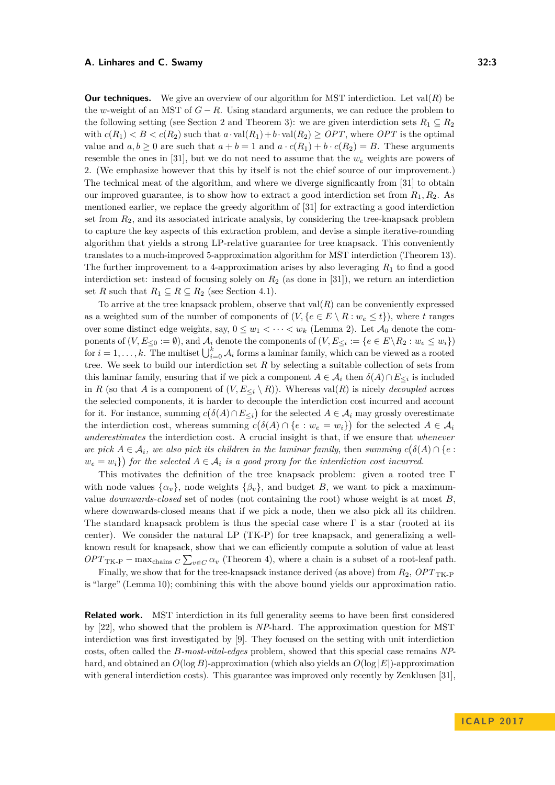**Our techniques.** We give an overview of our algorithm for MST interdiction. Let  $val(R)$  be the *w*-weight of an MST of  $G - R$ . Using standard arguments, we can reduce the problem to the following setting (see Section [2](#page-3-0) and Theorem [3\)](#page-5-2): we are given interdiction sets  $R_1 \nsubseteq R_2$ with  $c(R_1) < B < c(R_2)$  such that  $a \cdot \text{val}(R_1) + b \cdot \text{val}(R_2) \geq OPT$ , where *OPT* is the optimal value and  $a, b \ge 0$  are such that  $a + b = 1$  and  $a \cdot c(R_1) + b \cdot c(R_2) = B$ . These arguments resemble the ones in [\[31\]](#page-13-0), but we do not need to assume that the  $w_e$  weights are powers of 2. (We emphasize however that this by itself is not the chief source of our improvement.) The technical meat of the algorithm, and where we diverge significantly from [\[31\]](#page-13-0) to obtain our improved guarantee, is to show how to extract a good interdiction set from *R*1*, R*2. As mentioned earlier, we replace the greedy algorithm of [\[31\]](#page-13-0) for extracting a good interdiction set from *R*2, and its associated intricate analysis, by considering the tree-knapsack problem to capture the key aspects of this extraction problem, and devise a simple iterative-rounding algorithm that yields a strong LP-relative guarantee for tree knapsack. This conveniently translates to a much-improved 5-approximation algorithm for MST interdiction (Theorem [13\)](#page-8-0). The further improvement to a 4-approximation arises by also leveraging *R*<sup>1</sup> to find a good interdiction set: instead of focusing solely on *R*<sup>2</sup> (as done in [\[31\]](#page-13-0)), we return an interdiction set *R* such that  $R_1 \subseteq R \subseteq R_2$  (see Section [4.1\)](#page-8-1).

To arrive at the tree knapsack problem, observe that  $val(R)$  can be conveniently expressed as a weighted sum of the number of components of  $(V, \{e \in E \setminus R : w_e \leq t\})$ , where *t* ranges over some distinct edge weights, say,  $0 \leq w_1 < \cdots < w_k$  (Lemma [2\)](#page-4-0). Let  $\mathcal{A}_0$  denote the components of  $(V, E_{\leq 0} := \emptyset)$ , and  $\mathcal{A}_i$  denote the components of  $(V, E_{\leq i} := \{e \in E \setminus R_2 : w_e \leq w_i\})$ for  $i = 1, \ldots, k$ . The multiset  $\bigcup_{i=0}^{k} A_i$  forms a laminar family, which can be viewed as a rooted tree. We seek to build our interdiction set *R* by selecting a suitable collection of sets from this laminar family, ensuring that if we pick a component  $A \in \mathcal{A}_i$  then  $\delta(A) \cap E_{\leq i}$  is included in *R* (so that *A* is a component of  $(V, E_{\leq i} \setminus R)$ ). Whereas val(*R*) is nicely *decoupled* across the selected components, it is harder to decouple the interdiction cost incurred and account for it. For instance, summing  $c(\delta(A) \cap E_{\leq i})$  for the selected  $A \in \mathcal{A}_i$  may grossly overestimate the interdiction cost, whereas summing  $c(\delta(A) \cap \{e : w_e = w_i\})$  for the selected  $A \in \mathcal{A}_i$ *underestimates* the interdiction cost. A crucial insight is that, if we ensure that *whenever we pick*  $A \in \mathcal{A}_i$ *, we also pick its children in the laminar family, then summing*  $c(\delta(A) \cap \{e :$  $w_e = w_i$ ) for the selected  $A \in \mathcal{A}_i$  *is a good proxy for the interdiction cost incurred.* 

This motivates the definition of the tree knapsack problem: given a rooted tree Γ with node values  $\{\alpha_v\}$ , node weights  $\{\beta_v\}$ , and budget *B*, we want to pick a maximumvalue *downwards-closed* set of nodes (not containing the root) whose weight is at most *B*, where downwards-closed means that if we pick a node, then we also pick all its children. The standard knapsack problem is thus the special case where  $\Gamma$  is a star (rooted at its center). We consider the natural LP [\(TK-P\)](#page-5-3) for tree knapsack, and generalizing a wellknown result for knapsack, show that we can efficiently compute a solution of value at least  $OPT_{\text{TK-P}} - \max_{\text{chains } C} \sum_{v \in C} \alpha_v$  $OPT_{\text{TK-P}} - \max_{\text{chains } C} \sum_{v \in C} \alpha_v$  $OPT_{\text{TK-P}} - \max_{\text{chains } C} \sum_{v \in C} \alpha_v$  (Theorem [4\)](#page-5-1), where a chain is a subset of a root-leaf path.

Finally, we show that for the tree-knapsack instance derived (as above) from  $R_2$ ,  $OPT_{TK-P}$  $OPT_{TK-P}$  $OPT_{TK-P}$ is "large" (Lemma [10\)](#page-8-2); combining this with the above bound yields our approximation ratio.

**Related work.** MST interdiction in its full generality seems to have been first considered by [\[22\]](#page-13-1), who showed that the problem is *NP*-hard. The approximation question for MST interdiction was first investigated by [\[9\]](#page-12-0). They focused on the setting with unit interdiction costs, often called the *B-most-vital-edges* problem, showed that this special case remains *NP*hard, and obtained an *O*(log *B*)-approximation (which also yields an *O*(log |*E*|)-approximation with general interdiction costs). This guarantee was improved only recently by Zenklusen [\[31\]](#page-13-0),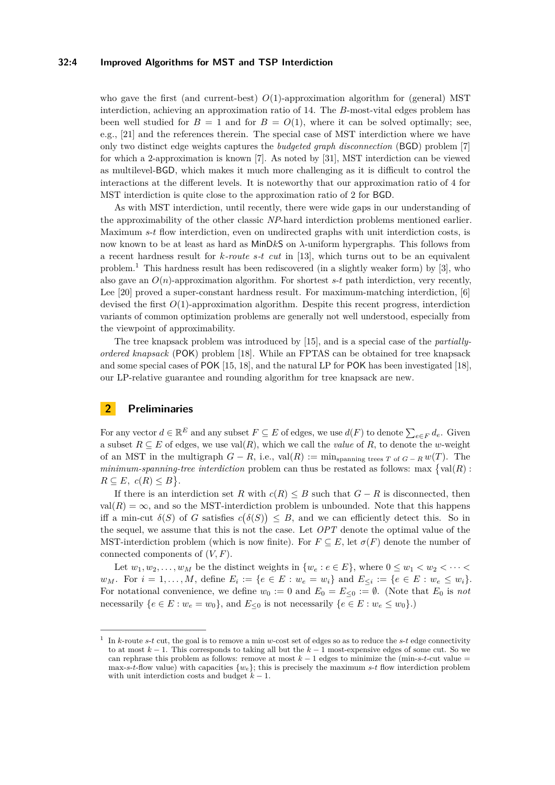## **32:4 Improved Algorithms for MST and TSP Interdiction**

who gave the first (and current-best)  $O(1)$ -approximation algorithm for (general) MST interdiction, achieving an approximation ratio of 14. The *B*-most-vital edges problem has been well studied for  $B = 1$  and for  $B = O(1)$ , where it can be solved optimally; see, e.g., [\[21\]](#page-13-11) and the references therein. The special case of MST interdiction where we have only two distinct edge weights captures the *budgeted graph disconnection* (BGD) problem [\[7\]](#page-12-12) for which a 2-approximation is known [\[7\]](#page-12-12). As noted by [\[31\]](#page-13-0), MST interdiction can be viewed as multilevel-BGD, which makes it much more challenging as it is difficult to control the interactions at the different levels. It is noteworthy that our approximation ratio of 4 for MST interdiction is quite close to the approximation ratio of 2 for BGD.

As with MST interdiction, until recently, there were wide gaps in our understanding of the approximability of the other classic *NP*-hard interdiction problems mentioned earlier. Maximum *s*-*t* flow interdiction, even on undirected graphs with unit interdiction costs, is now known to be at least as hard as MinD*k*S on *λ*-uniform hypergraphs. This follows from a recent hardness result for *k-route s-t cut* in [\[13\]](#page-12-5), which turns out to be an equivalent problem.[1](#page-3-1) This hardness result has been rediscovered (in a slightly weaker form) by [\[3\]](#page-12-6), who also gave an  $O(n)$ -approximation algorithm. For shortest *s*-*t* path interdiction, very recently, Lee [\[20\]](#page-13-8) proved a super-constant hardness result. For maximum-matching interdiction, [\[6\]](#page-12-10) devised the first *O*(1)-approximation algorithm. Despite this recent progress, interdiction variants of common optimization problems are generally not well understood, especially from the viewpoint of approximability.

The tree knapsack problem was introduced by [\[15\]](#page-12-11), and is a special case of the *partiallyordered knapsack* (POK) problem [\[18\]](#page-12-13). While an FPTAS can be obtained for tree knapsack and some special cases of POK [\[15,](#page-12-11) [18\]](#page-12-13), and the natural LP for POK has been investigated [\[18\]](#page-12-13), our LP-relative guarantee and rounding algorithm for tree knapsack are new.

# <span id="page-3-0"></span>**2 Preliminaries**

For any vector  $d \in \mathbb{R}^E$  and any subset  $F \subseteq E$  of edges, we use  $d(F)$  to denote  $\sum_{e \in F} d_e$ . Given a subset  $R \subseteq E$  of edges, we use val $(R)$ , which we call the *value* of  $R$ , to denote the *w*-weight of an MST in the multigraph  $G - R$ , i.e., val $(R) := \min_{\text{spanning trees } T \text{ of } G - R} w(T)$ . The minimum-spanning-tree interdiction problem can thus be restated as follows: max  $\{val(R) :$  $R \subseteq E$ ,  $c(R) \leq B$ .

If there is an interdiction set *R* with  $c(R) \leq B$  such that  $G - R$  is disconnected, then  $val(R) = \infty$ , and so the MST-interdiction problem is unbounded. Note that this happens iff a min-cut  $\delta(S)$  of *G* satisfies  $c(\delta(S)) \leq B$ , and we can efficiently detect this. So in the sequel, we assume that this is not the case. Let *OPT* denote the optimal value of the MST-interdiction problem (which is now finite). For  $F \subseteq E$ , let  $\sigma(F)$  denote the number of connected components of (*V, F*).

Let  $w_1, w_2, \ldots, w_M$  be the distinct weights in  $\{w_e : e \in E\}$ , where  $0 \leq w_1 < w_2 < \cdots <$  $w_M$ . For  $i = 1, ..., M$ , define  $E_i := \{e \in E : w_e = w_i\}$  and  $E_{\leq i} := \{e \in E : w_e \leq w_i\}.$ For notational convenience, we define  $w_0 := 0$  and  $E_0 = E_{\leq 0} := \emptyset$ . (Note that  $E_0$  is not necessarily  ${e \in E : w_e = w_0},$  and  $E_{\leq 0}$  is not necessarily  ${e \in E : w_e \leq w_0}.$ 

<span id="page-3-1"></span><sup>1</sup> In *k*-route *s*-*t* cut, the goal is to remove a min *w*-cost set of edges so as to reduce the *s*-*t* edge connectivity to at most *k* − 1. This corresponds to taking all but the *k* − 1 most-expensive edges of some cut. So we can rephrase this problem as follows: remove at most  $k-1$  edges to minimize the (min-s-t-cut value  $=$ max-*s*-*t*-flow value) with capacities  ${w_e}$ ; this is precisely the maximum *s*-*t* flow interdiction problem with unit interdiction costs and budget  $k - 1$ .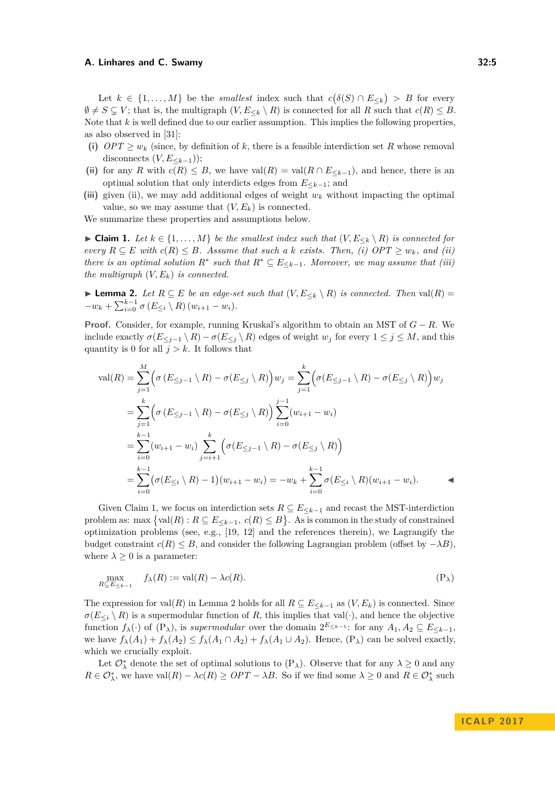Let  $k \in \{1, ..., M\}$  be the *smallest* index such that  $c(\delta(S) \cap E_{\leq k}) > B$  for every  $\emptyset \neq S \subsetneq V$ ; that is, the multigraph  $(V, E_{\leq k} \setminus R)$  is connected for all R such that  $c(R) \leq B$ . Note that *k* is well defined due to our earlier assumption. This implies the following properties, as also observed in [\[31\]](#page-13-0):

- (i)  $OPT \geq w_k$  (since, by definition of k, there is a feasible interdiction set R whose removal disconnects  $(V, E<sub>k-1</sub>)$ ;
- (ii) for any *R* with  $c(R) \leq B$ , we have val $(R) = \text{val}(R \cap E_{\leq k-1})$ , and hence, there is an optimal solution that only interdicts edges from *E*≤*k*−1; and
- **(iii)** given (ii), we may add additional edges of weight *w<sup>k</sup>* without impacting the optimal value, so we may assume that  $(V, E_k)$  is connected.

We summarize these properties and assumptions below.

<span id="page-4-1"></span>▶ **Claim 1.** *Let*  $k \in \{1, ..., M\}$  *be the smallest index such that*  $(V, E_{\leq k} \setminus R)$  *is connected for every*  $R ⊆ E$  *with*  $c(R) ≤ B$ *. Assume that such a k exists. Then, (i)*  $OPT ≥ w_k$ *, and (ii) there is an optimal solution*  $R^*$  *such that*  $R^* \subseteq E_{\leq k-1}$ *. Moreover, we may assume that (iii) the multigraph*  $(V, E_k)$  *is connected.* 

<span id="page-4-0"></span>► **Lemma 2.** *Let*  $R \subseteq E$  *be an edge-set such that*  $(V, E_{\leq k} \setminus R)$  *is connected. Then* val $(R) =$  $-w_k + \sum_{i=0}^{k-1} \sigma(E_{\leq i} \setminus R) (w_{i+1} - w_i).$ 

**Proof.** Consider, for example, running Kruskal's algorithm to obtain an MST of *G* − *R*. We include exactly  $\sigma(E_{\leq j-1} \setminus R) - \sigma(E_{\leq j} \setminus R)$  edges of weight  $w_j$  for every  $1 \leq j \leq M$ , and this quantity is 0 for all  $j > k$ . It follows that

$$
\operatorname{val}(R) = \sum_{j=1}^{M} \Big( \sigma \left( E_{\leq j-1} \setminus R \right) - \sigma(E_{\leq j} \setminus R) \Big) w_j = \sum_{j=1}^{k} \Big( \sigma \left( E_{\leq j-1} \setminus R \right) - \sigma(E_{\leq j} \setminus R) \Big) w_j
$$
  
\n
$$
= \sum_{j=1}^{k} \Big( \sigma \left( E_{\leq j-1} \setminus R \right) - \sigma(E_{\leq j} \setminus R) \Big) \sum_{i=0}^{j-1} (w_{i+1} - w_i)
$$
  
\n
$$
= \sum_{i=0}^{k-1} (w_{i+1} - w_i) \sum_{j=i+1}^{k} \Big( \sigma(E_{\leq j-1} \setminus R) - \sigma(E_{\leq j} \setminus R) \Big)
$$
  
\n
$$
= \sum_{i=0}^{k-1} \Big( \sigma(E_{\leq i} \setminus R) - 1 \Big) (w_{i+1} - w_i) = -w_k + \sum_{i=0}^{k-1} \sigma(E_{\leq i} \setminus R) (w_{i+1} - w_i).
$$

Given Claim [1,](#page-4-1) we focus on interdiction sets  $R \subseteq E_{\leq k-1}$  and recast the MST-interdiction problem as: max  $\{val(R) : R \subseteq E_{\leq k-1}, c(R) \leq B\}$ . As is common in the study of constrained optimization problems (see, e.g.,  $[19, 12]$  $[19, 12]$  $[19, 12]$  and the references therein), we Lagrangify the budget constraint  $c(R) \leq B$ , and consider the following Lagrangian problem (offset by  $-\lambda B$ ). where  $\lambda \geq 0$  is a parameter:

<span id="page-4-2"></span>
$$
\max_{R \subseteq E_{\le k-1}} f_{\lambda}(R) := \text{val}(R) - \lambda c(R). \tag{P_{\lambda}}
$$

The expression for val $(R)$  in Lemma [2](#page-4-0) holds for all  $R \subseteq E_{\leq k-1}$  as  $(V, E_k)$  is connected. Since  $\sigma(E_{\leq i} \setminus R)$  is a supermodular function of *R*, this implies that val(·), and hence the objective function  $f_{\lambda}(\cdot)$  of  $(P_{\lambda})$  $(P_{\lambda})$ , is *supermodular* over the domain  $2^{E_{\leq k-1}}$ : for any  $A_1, A_2 \subseteq E_{\leq k-1}$ , we have  $f_{\lambda}(A_1) + f_{\lambda}(A_2) \leq f_{\lambda}(A_1 \cap A_2) + f_{\lambda}(A_1 \cup A_2)$ . Hence,  $(P_{\lambda})$  $(P_{\lambda})$  can be solved exactly, which we crucially exploit.

Let  $\mathcal{O}_{\lambda}^*$  denote the set of optimal solutions to  $(P_{\lambda})$  $(P_{\lambda})$ . Observe that for any  $\lambda \geq 0$  and any  $R \in \mathcal{O}_{\lambda}^{*}$ , we have val $(R) - \lambda c(R) \geq OPT - \lambda B$ . So if we find some  $\lambda \geq 0$  and  $R \in \mathcal{O}_{\lambda}^{*}$  such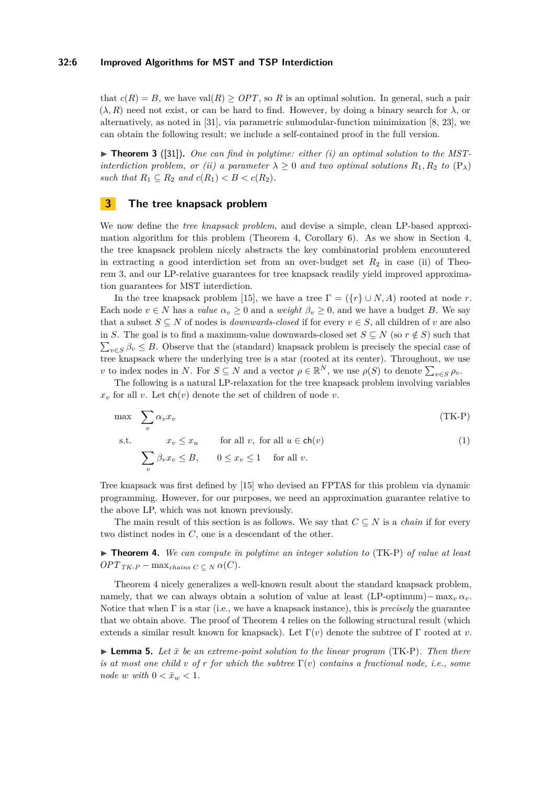## **32:6 Improved Algorithms for MST and TSP Interdiction**

that  $c(R) = B$ , we have val $(R) > OPT$ , so R is an optimal solution. In general, such a pair  $(\lambda, R)$  need not exist, or can be hard to find. However, by doing a binary search for  $\lambda$ , or alternatively, as noted in [\[31\]](#page-13-0), via parametric submodular-function minimization [\[8,](#page-12-16) [23\]](#page-13-12), we can obtain the following result; we include a self-contained proof in the full version.

<span id="page-5-2"></span> $\triangleright$  **Theorem 3** ([\[31\]](#page-13-0)). One can find in polytime: either (i) an optimal solution to the MST*interdiction problem, or (ii) a parameter*  $\lambda \geq 0$  *and two optimal solutions*  $R_1, R_2$  *to*  $(P_\lambda)$  $(P_\lambda)$ *such that*  $R_1 \subseteq R_2$  *and*  $c(R_1) < B < c(R_2)$ .

## <span id="page-5-0"></span>**3 The tree knapsack problem**

<span id="page-5-5"></span><span id="page-5-3"></span>*v*

We now define the *tree knapsack problem*, and devise a simple, clean LP-based approximation algorithm for this problem (Theorem [4,](#page-5-1) Corollary [6\)](#page-6-1). As we show in Section [4,](#page-6-2) the tree knapsack problem nicely abstracts the key combinatorial problem encountered in extracting a good interdiction set from an over-budget set  $R_2$  in case (ii) of Theorem [3,](#page-5-2) and our LP-relative guarantees for tree knapsack readily yield improved approximation guarantees for MST interdiction.

In the tree knapsack problem [\[15\]](#page-12-11), we have a tree  $\Gamma = (\{r\} \cup N, A)$  rooted at node *r*. Each node  $v \in N$  has a *value*  $\alpha_v \geq 0$  and a *weight*  $\beta_v \geq 0$ , and we have a budget *B*. We say that a subset  $S \subseteq N$  of nodes is *downwards-closed* if for every  $v \in S$ , all children of *v* are also in *S*. The goal is to find a maximum-value downwards-closed set  $S \subseteq N$  (so  $r \notin S$ ) such that  $\sum_{v \in S} \beta_v \leq B$ . Observe that the (standard) knapsack problem is precisely the special case of tree knapsack where the underlying tree is a star (rooted at its center). Throughout, we use *v* to index nodes in *N*. For  $S \subseteq N$  and a vector  $\rho \in \mathbb{R}^N$ , we use  $\rho(S)$  to denote  $\sum_{v \in S} \rho_v$ .

The following is a natural LP-relaxation for the tree knapsack problem involving variables  $x<sub>v</sub>$  for all *v*. Let ch(*v*) denote the set of children of node *v*.

$$
\max_{v} \sum_{v} \alpha_{v} x_{v}
$$
\n
$$
\text{s.t.} \quad x_{v} \leq x_{u} \quad \text{for all } v, \text{ for all } u \in \text{ch}(v)
$$
\n
$$
\sum \beta_{v} x_{v} \leq B, \quad 0 \leq x_{v} \leq 1 \quad \text{for all } v.
$$
\n
$$
(1)
$$

Tree knapsack was first defined by [\[15\]](#page-12-11) who devised an FPTAS for this problem via dynamic programming. However, for our purposes, we need an approximation guarantee relative to the above LP, which was not known previously.

The main result of this section is as follows. We say that  $C \subseteq N$  is a *chain* if for every two distinct nodes in *C*, one is a descendant of the other.

<span id="page-5-1"></span>I **Theorem 4.** *We can compute in polytime an integer solution to* [\(TK-P\)](#page-5-3) *of value at least*  $OPT_{TK-P}$  $OPT_{TK-P}$  $OPT_{TK-P}$  – max<sub>chains</sub>  $C \subset N$   $\alpha(C)$ .

Theorem [4](#page-5-1) nicely generalizes a well-known result about the standard knapsack problem, namely, that we can always obtain a solution of value at least  $(LP\text{-}optimum)-\max_{\nu} \alpha_{\nu}$ . Notice that when Γ is a star (i.e., we have a knapsack instance), this is *precisely* the guarantee that we obtain above. The proof of Theorem [4](#page-5-1) relies on the following structural result (which extends a similar result known for knapsack). Let  $\Gamma(v)$  denote the subtree of  $\Gamma$  rooted at *v*.

<span id="page-5-4"></span> $\blacktriangleright$  **Lemma 5.** Let  $\bar{x}$  be an extreme-point solution to the linear program [\(TK-P\)](#page-5-3). Then there *is at most one child v of r for which the subtree*  $\Gamma(v)$  *contains a fractional node, i.e., some node w with*  $0 < \bar{x}_w < 1$ *.*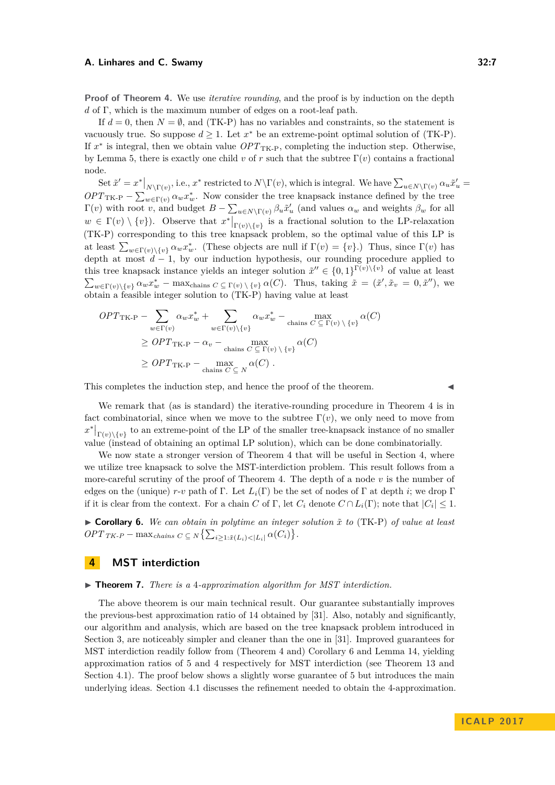**Proof of Theorem [4.](#page-5-1)** We use *iterative rounding*, and the proof is by induction on the depth *d* of Γ, which is the maximum number of edges on a root-leaf path.

If  $d = 0$ , then  $N = \emptyset$ , and [\(TK-P\)](#page-5-3) has no variables and constraints, so the statement is vacuously true. So suppose  $d \geq 1$ . Let  $x^*$  be an extreme-point optimal solution of [\(TK-P\)](#page-5-3). If  $x^*$  is integral, then we obtain value  $OPT_{TK-P}$  $OPT_{TK-P}$  $OPT_{TK-P}$ , completing the induction step. Otherwise, by Lemma [5,](#page-5-4) there is exactly one child *v* of *r* such that the subtree Γ(*v*) contains a fractional node.

 $\text{Set } \tilde{x}' = x^*|_{N \setminus \Gamma(v)}, \text{ i.e., } x^* \text{ restricted to } N \setminus \Gamma(v), \text{ which is integral. We have } \sum_{u \in N \setminus \Gamma(v)} \alpha_u \tilde{x}'_u =$  $OPT_{TK-P} - \sum_{w \in \Gamma(v)} \alpha_w x_w^*$  $OPT_{TK-P} - \sum_{w \in \Gamma(v)} \alpha_w x_w^*$  $OPT_{TK-P} - \sum_{w \in \Gamma(v)} \alpha_w x_w^*$ . Now consider the tree knapsack instance defined by the tree  $\Gamma(v)$  with root *v*, and budget  $B - \sum_{u \in N \setminus \Gamma(v)} \beta_u \tilde{x}'_u$  (and values  $\alpha_w$  and weights  $\beta_w$  for all  $w \in \Gamma(v) \setminus \{v\}$ . Observe that  $x^*|_{\Gamma(v) \setminus \{v\}}$  is a fractional solution to the LP-relaxation [\(TK-P\)](#page-5-3) corresponding to this tree knapsack problem, so the optimal value of this LP is at least  $\sum_{w \in \Gamma(v) \setminus \{v\}} \alpha_w x_w^*$ . (These objects are null if  $\Gamma(v) = \{v\}$ .) Thus, since  $\Gamma(v)$  has depth at most  $d-1$ , by our induction hypothesis, our rounding procedure applied to this tree knapsack instance yields an integer solution  $\tilde{x}'' \in \{0,1\}^{\Gamma(v)\setminus\{v\}}$  of value at least  $\sum_{w \in \Gamma(v) \setminus \{v\}} \alpha_w x_w^* - \max_{\text{chains } C \subseteq \Gamma(v) \setminus \{v\}} \alpha(C)$ . Thus, taking  $\tilde{x} = (\tilde{x}', \tilde{x}_v = 0, \tilde{x}'')$ , we obtain a feasible integer solution to [\(TK-P\)](#page-5-3) having value at least

$$
OPT_{\text{TK-P}} - \sum_{w \in \Gamma(v)} \alpha_w x_w^* + \sum_{w \in \Gamma(v) \setminus \{v\}} \alpha_w x_w^* - \max_{\text{chains } C \subseteq \Gamma(v) \setminus \{v\}} \alpha(C)
$$
  
\n
$$
\ge OPT_{\text{TK-P}} - \alpha_v - \max_{\text{chains } C \subseteq \Gamma(v) \setminus \{v\}} \alpha(C)
$$
  
\n
$$
\ge OPT_{\text{TK-P}} - \max_{\text{chains } C \subseteq N} \alpha(C).
$$

This completes the induction step, and hence the proof of the theorem. J

We remark that (as is standard) the iterative-rounding procedure in Theorem [4](#page-5-1) is in fact combinatorial, since when we move to the subtree  $\Gamma(v)$ , we only need to move from  $x^*|_{\Gamma(v)\setminus\{v\}}$  to an extreme-point of the LP of the smaller tree-knapsack instance of no smaller value (instead of obtaining an optimal LP solution), which can be done combinatorially.

We now state a stronger version of Theorem [4](#page-5-1) that will be useful in Section [4,](#page-6-2) where we utilize tree knapsack to solve the MST-interdiction problem. This result follows from a more-careful scrutiny of the proof of Theorem [4.](#page-5-1) The depth of a node *v* is the number of edges on the (unique)  $r$ -*v* path of Γ. Let  $L_i(\Gamma)$  be the set of nodes of Γ at depth *i*; we drop Γ if it is clear from the context. For a chain *C* of  $\Gamma$ , let  $C_i$  denote  $C \cap L_i(\Gamma)$ ; note that  $|C_i| \leq 1$ .

<span id="page-6-1"></span> $\triangleright$  **Corollary 6.** We can obtain in polytime an integer solution  $\tilde{x}$  to [\(TK-P\)](#page-5-3) of value at least  $OPT_{TK-P} - \max_{chains} c \subseteq N \left\{ \sum_{i \geq 1: \tilde{x}(L_i) < |L_i|} \alpha(C_i) \right\}.$  $OPT_{TK-P} - \max_{chains} c \subseteq N \left\{ \sum_{i \geq 1: \tilde{x}(L_i) < |L_i|} \alpha(C_i) \right\}.$  $OPT_{TK-P} - \max_{chains} c \subseteq N \left\{ \sum_{i \geq 1: \tilde{x}(L_i) < |L_i|} \alpha(C_i) \right\}.$ 

# <span id="page-6-2"></span>**4 MST interdiction**

#### <span id="page-6-0"></span>▶ **Theorem 7.** *There is a 4-approximation algorithm for MST interdiction.*

The above theorem is our main technical result. Our guarantee substantially improves the previous-best approximation ratio of 14 obtained by [\[31\]](#page-13-0). Also, notably and significantly, our algorithm and analysis, which are based on the tree knapsack problem introduced in Section [3,](#page-5-0) are noticeably simpler and cleaner than the one in [\[31\]](#page-13-0). Improved guarantees for MST interdiction readily follow from (Theorem [4](#page-5-1) and) Corollary [6](#page-6-1) and Lemma [14,](#page-9-0) yielding approximation ratios of 5 and 4 respectively for MST interdiction (see Theorem [13](#page-8-0) and Section [4.1\)](#page-8-1). The proof below shows a slightly worse guarantee of 5 but introduces the main underlying ideas. Section [4.1](#page-8-1) discusses the refinement needed to obtain the 4-approximation.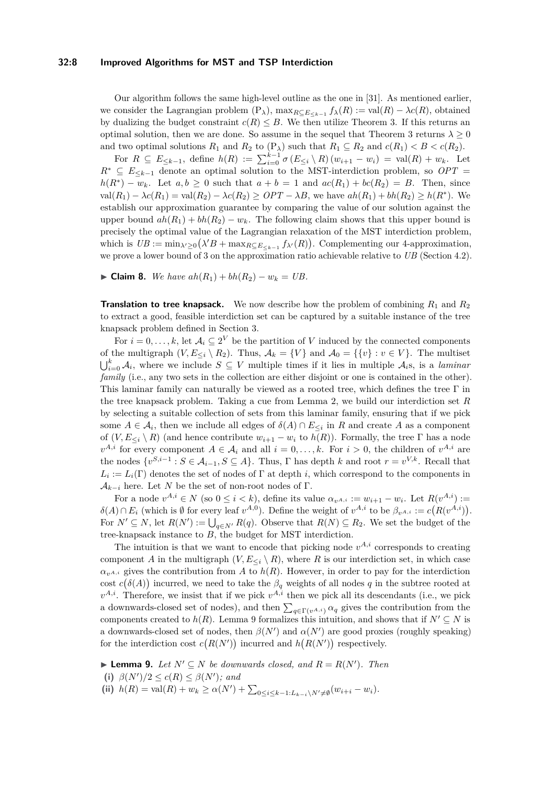## **32:8 Improved Algorithms for MST and TSP Interdiction**

Our algorithm follows the same high-level outline as the one in [\[31\]](#page-13-0). As mentioned earlier, we consider the Lagrangian problem  $(P_{\lambda})$  $(P_{\lambda})$ ,  $\max_{R \subseteq E_{\leq k-1}} f_{\lambda}(R) := \text{val}(R) - \lambda c(R)$ , obtained by dualizing the budget constraint  $c(R) \leq B$ . We then utilize Theorem [3.](#page-5-2) If this returns an optimal solution, then we are done. So assume in the sequel that Theorem [3](#page-5-2) returns  $\lambda \geq 0$ and two optimal solutions  $R_1$  and  $R_2$  to  $(P_\lambda)$  $(P_\lambda)$  such that  $R_1 \subseteq R_2$  and  $c(R_1) < B < c(R_2)$ .

For  $R \subseteq E_{\leq k-1}$ , define  $h(R) := \sum_{i=0}^{k-1} \sigma(E_{\leq i} \setminus R)(w_{i+1} - w_i) = \text{val}(R) + w_k$ . Let  $R^* \subseteq E_{\leq k-1}$  denote an optimal solution to the MST-interdiction problem, so  $OPT =$  $h(R^*) - w_k$ . Let  $a, b \ge 0$  such that  $a + b = 1$  and  $ac(R_1) + bc(R_2) = B$ . Then, since  $\text{val}(R_1) - \lambda c(R_1) = \text{val}(R_2) - \lambda c(R_2) \geq OPT - \lambda B$ , we have  $ah(R_1) + bh(R_2) \geq h(R^*)$ . We establish our approximation guarantee by comparing the value of our solution against the upper bound  $ah(R_1) + bh(R_2) - w_k$ . The following claim shows that this upper bound is precisely the optimal value of the Lagrangian relaxation of the MST interdiction problem, which is  $UB := \min_{\lambda' \geq 0} (\lambda' B + \max_{R \subseteq E_{\leq k-1}} f_{\lambda'}(R))$ . Complementing our 4-approximation, we prove a lower bound of 3 on the approximation ratio achievable relative to *UB* (Section [4.2\)](#page-10-3).

► **Claim 8.** *We have*  $ah(R_1) + bh(R_2) - w_k = UB$ .

**Translation to tree knapsack.** We now describe how the problem of combining  $R_1$  and  $R_2$ to extract a good, feasible interdiction set can be captured by a suitable instance of the tree knapsack problem defined in Section [3.](#page-5-0)

For  $i = 0, \ldots, k$ , let  $\mathcal{A}_i \subseteq 2^V$  be the partition of *V* induced by the connected components of the multigraph  $(V, E_{\leq i} \setminus R_2)$ . Thus,  $\mathcal{A}_k = \{V\}$  and  $\mathcal{A}_0 = \{\{v\} : v \in V\}$ . The multiset  $\bigcup_{i=0}^k \mathcal{A}_i$ , where we include  $S \subseteq V$  multiple times if it lies in multiple  $\mathcal{A}_i$ s, is a *laminar family* (i.e., any two sets in the collection are either disjoint or one is contained in the other). This laminar family can naturally be viewed as a rooted tree, which defines the tree  $\Gamma$  in the tree knapsack problem. Taking a cue from Lemma [2,](#page-4-0) we build our interdiction set *R* by selecting a suitable collection of sets from this laminar family, ensuring that if we pick some  $A \in \mathcal{A}_i$ , then we include all edges of  $\delta(A) \cap E_{\leq i}$  in  $R$  and create  $A$  as a component of  $(V, E_{\leq i} \setminus R)$  (and hence contribute  $w_{i+1} - w_i$  to  $h(R)$ ). Formally, the tree  $\Gamma$  has a node  $v^{A,i}$  for every component  $A \in \mathcal{A}_i$  and all  $i = 0, \ldots, k$ . For  $i > 0$ , the children of  $v^{A,i}$  are the nodes  $\{v^{S,i-1} : S \in A_{i-1}, S \subseteq A\}$ . Thus,  $\Gamma$  has depth  $k$  and root  $r = v^{V,k}$ . Recall that  $L_i := L_i(\Gamma)$  denotes the set of nodes of  $\Gamma$  at depth *i*, which correspond to the components in  $\mathcal{A}_{k-i}$  here. Let *N* be the set of non-root nodes of Γ.

For a node  $v^{A,i} \in N$  (so  $0 \le i < k$ ), define its value  $\alpha_{v^{A,i}} := w_{i+1} - w_i$ . Let  $R(v^{A,i}) :=$  $\delta(A) \cap E_i$  (which is  $\emptyset$  for every leaf  $v^{A,0}$ ). Define the weight of  $v^{A,i}$  to be  $\beta_{v^{A,i}} := c(R(v^{A,i}))$ . For  $N' \subseteq N$ , let  $R(N') := \bigcup_{q \in N'} R(q)$ . Observe that  $R(N) \subseteq R_2$ . We set the budget of the tree-knapsack instance to *B*, the budget for MST interdiction.

The intuition is that we want to encode that picking node  $v^{A,i}$  corresponds to creating component *A* in the multigraph  $(V, E_{\leq i} \setminus R)$ , where *R* is our interdiction set, in which case  $\alpha_{v^{A,i}}$  gives the contribution from *A* to *h*(*R*). However, in order to pay for the interdiction cost  $c(\delta(A))$  incurred, we need to take the  $\beta_q$  weights of all nodes q in the subtree rooted at  $v^{A,i}$ . Therefore, we insist that if we pick  $v^{A,i}$  then we pick all its descendants (i.e., we pick a downwards-closed set of nodes), and then  $\sum_{q \in \Gamma(v^{A,i})} \alpha_q$  gives the contribution from the components created to  $h(R)$ . Lemma [9](#page-7-0) formalizes this intuition, and shows that if  $N' \subseteq N$  is a downwards-closed set of nodes, then  $\beta(N')$  and  $\alpha(N')$  are good proxies (roughly speaking) for the interdiction cost  $c(R(N'))$  incurred and  $h(R(N'))$  respectively.

<span id="page-7-0"></span>▶ **Lemma 9.** *Let*  $N' ⊆ N$  *be downwards closed, and*  $R = R(N')$ *. Then* 

- (i)  $\beta(N')/2 \leq c(R) \leq \beta(N')$ *; and*
- **(ii)**  $h(R) = \text{val}(R) + w_k \ge \alpha(N') + \sum_{0 \le i \le k-1: L_{k-i} \setminus N' \ne \emptyset} (w_{i+i} w_i).$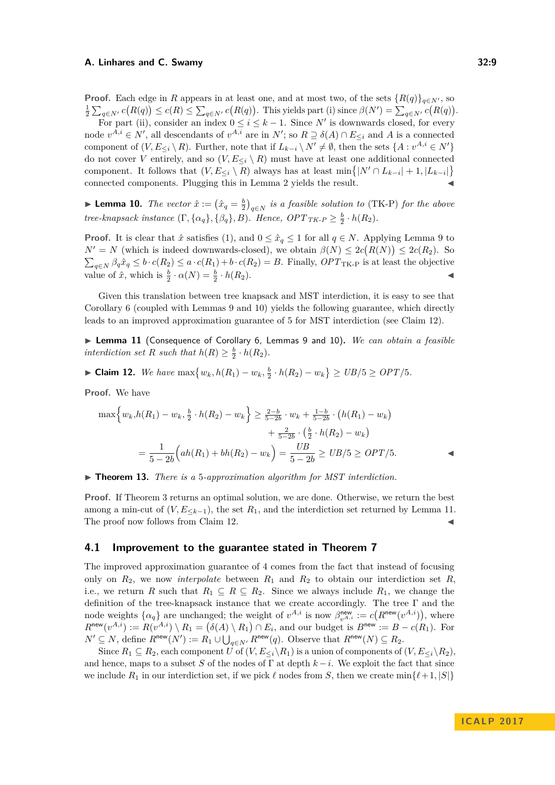**Proof.** Each edge in *R* appears in at least one, and at most two, of the sets  ${R(q)}_{q \in N}$ , so  $\frac{1}{2}\sum_{q\in N'}c(R(q))\leq c(R)\leq \sum_{q\in N'}c(R(q))$ . This yields part (i) since  $\beta(N')=\sum_{q\in N'}c(R(q))$ .

For part (ii), consider an index  $0 \leq i \leq k-1$ . Since N' is downwards closed, for every node  $v^{A,i} \in N'$ , all descendants of  $v^{A,i}$  are in  $N'$ ; so  $R \supseteq \delta(A) \cap E_{\leq i}$  and A is a connected component of  $(V, E_{\leq i} \setminus R)$ . Further, note that if  $L_{k-i} \setminus N' \neq \emptyset$ , then the sets  $\{A : v^{A,i} \in N'\}$ do not cover *V* entirely, and so  $(V, E_{\leq i} \setminus R)$  must have at least one additional connected component. It follows that  $(V, E_{\leq i} \setminus R)$  always has at least min $\{|N' \cap L_{k-i}| + 1, |L_{k-i}|\}$ connected components. Plugging this in Lemma [2](#page-4-0) yields the result.

<span id="page-8-2"></span>▶ **Lemma 10.** *The vector*  $\hat{x} := (\hat{x}_q = \frac{b}{2})_{q \in N}$  *is a feasible solution to* [\(TK-P\)](#page-5-3) *for the above tree-knapsack instance*  $(\Gamma, {\{\alpha_q\}, {\{\beta_q\}, B\}})$ *. Hence,*  $OPT_{TK-P} \geq \frac{b}{2} \cdot h(R_2)$  $OPT_{TK-P} \geq \frac{b}{2} \cdot h(R_2)$  $OPT_{TK-P} \geq \frac{b}{2} \cdot h(R_2)$ *.* 

**Proof.** It is clear that  $\hat{x}$  satisfies [\(1\)](#page-5-5), and  $0 \leq \hat{x}_q \leq 1$  for all  $q \in N$ . Applying Lemma [9](#page-7-0) to  $N' = N$  (which is indeed downwards-closed), we obtain  $\beta(N) \leq 2c(R(N)) \leq 2c(R_2)$ . So  $\sum_{q \in N} \beta_q \hat{x}_q \leq b \cdot c(R_2) \leq a \cdot c(R_1) + b \cdot c(R_2) = B$ . Finally, *OPT*<sub>[TK-P](#page-5-3)</sub> is at least the objective value of  $\hat{x}$ , which is  $\frac{b}{2} \cdot \alpha(N) = \frac{b}{2} \cdot h(R_2)$ .

Given this translation between tree knapsack and MST interdiction, it is easy to see that Corollary [6](#page-6-1) (coupled with Lemmas [9](#page-7-0) and [10\)](#page-8-2) yields the following guarantee, which directly leads to an improved approximation guarantee of 5 for MST interdiction (see Claim [12\)](#page-8-3).

<span id="page-8-4"></span>▶ Lemma 11 (Consequence of Corollary [6,](#page-6-1) Lemmas [9](#page-7-0) and [10\)](#page-8-2). *We can obtain a feasible interdiction set R such that*  $h(R) \geq \frac{b}{2} \cdot h(R_2)$ *.* 

<span id="page-8-3"></span>► Claim 12. We have 
$$
\max\{w_k, h(R_1) - w_k, \frac{b}{2} \cdot h(R_2) - w_k\} \geq UB/5 \geq OPT/5
$$
.

**Proof.** We have

$$
\max\left\{w_k, h(R_1) - w_k, \frac{b}{2} \cdot h(R_2) - w_k\right\} \ge \frac{2-b}{5-2b} \cdot w_k + \frac{1-b}{5-2b} \cdot \left(h(R_1) - w_k\right) + \frac{2}{5-2b} \cdot \left(\frac{b}{2} \cdot h(R_2) - w_k\right) = \frac{1}{5-2b} \left(ah(R_1) + bh(R_2) - w_k\right) = \frac{UB}{5-2b} \ge UB/5 \ge OPT/5.
$$

<span id="page-8-0"></span>▶ **Theorem 13.** *There is a* 5*-approximation algorithm for MST interdiction.* 

**Proof.** If Theorem [3](#page-5-2) returns an optimal solution, we are done. Otherwise, we return the best among a min-cut of  $(V, E_{\leq k-1})$ , the set  $R_1$ , and the interdiction set returned by Lemma [11.](#page-8-4) The proof now follows from Claim [12.](#page-8-3)

# <span id="page-8-1"></span>**4.1 Improvement to the guarantee stated in Theorem [7](#page-6-0)**

The improved approximation guarantee of 4 comes from the fact that instead of focusing only on  $R_2$ , we now *interpolate* between  $R_1$  and  $R_2$  to obtain our interdiction set  $R$ , i.e., we return *R* such that  $R_1 \subseteq R \subseteq R_2$ . Since we always include  $R_1$ , we change the definition of the tree-knapsack instance that we create accordingly. The tree Γ and the node weights  $\{\alpha_q\}$  are unchanged; the weight of  $v^{A,i}$  is now  $\beta_{v^{A,i}}^{\text{new}} := c(R^{\text{new}}(v^{A,i}))$ , where  $R^{\text{new}}(v^{A,i}) := R(v^{A,i}) \setminus R_1 = (\delta(A) \setminus R_1) \cap E_i$ , and our budget is  $B^{\text{new}} := B - c(R_1)$ . For  $N' \subseteq N$ , define  $R^{\text{new}}(N') := R_1 \cup \bigcup_{q \in N'} R^{\text{new}}(q)$ . Observe that  $R^{\text{new}}(N) \subseteq R_2$ .

Since  $R_1 \subseteq R_2$ , each component *U* of  $(V, E_{\leq i}\backslash R_1)$  is a union of components of  $(V, E_{\leq i}\backslash R_2)$ , and hence, maps to a subset *S* of the nodes of  $\Gamma$  at depth  $k - i$ . We exploit the fact that since we include  $R_1$  in our interdiction set, if we pick  $\ell$  nodes from *S*, then we create min $\{\ell + 1, |S|\}$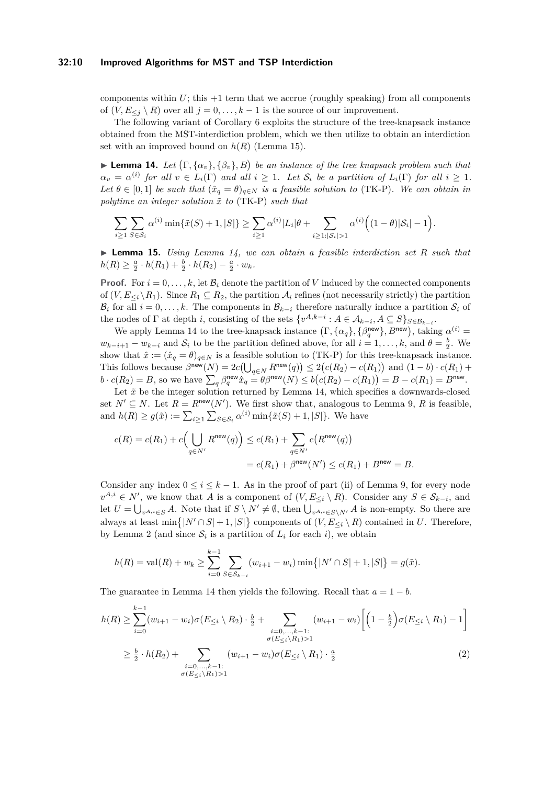#### **32:10 Improved Algorithms for MST and TSP Interdiction**

components within  $U$ ; this  $+1$  term that we accrue (roughly speaking) from all components of  $(V, E_{\leq j} \setminus R)$  over all  $j = 0, \ldots, k - 1$  is the source of our improvement.

The following variant of Corollary [6](#page-6-1) exploits the structure of the tree-knapsack instance obtained from the MST-interdiction problem, which we then utilize to obtain an interdiction set with an improved bound on  $h(R)$  (Lemma [15\)](#page-9-1).

<span id="page-9-0"></span>**Example 14.** Let  $(\Gamma, {\alpha_v}, {\beta_v}, B)$  be an instance of the tree knapsack problem such that  $a_v = \alpha^{(i)}$  *for all*  $v \in L_i(\Gamma)$  *and all*  $i \geq 1$ *. Let*  $\mathcal{S}_i$  *be a partition of*  $L_i(\Gamma)$  *for all*  $i \geq 1$ *. Let*  $\theta \in [0,1]$  *be such that*  $(\hat{x}_q = \theta)_{q \in N}$  *is a feasible solution to* [\(TK-P\)](#page-5-3)*. We can obtain in polytime an integer solution x*˜ *to* [\(TK-P\)](#page-5-3) *such that*

$$
\sum_{i\geq 1}\sum_{S\in S_i}\alpha^{(i)}\min\{\tilde{x}(S)+1,|S|\}\geq \sum_{i\geq 1}\alpha^{(i)}|L_i|\theta+\sum_{i\geq 1:|S_i|>1}\alpha^{(i)}\Big((1-\theta)|S_i|-1\Big).
$$

<span id="page-9-1"></span>I **Lemma 15.** *Using Lemma [14,](#page-9-0) we can obtain a feasible interdiction set R such that*  $h(R) \geq \frac{a}{2} \cdot h(R_1) + \frac{b}{2} \cdot h(R_2) - \frac{a}{2} \cdot w_k$ .

**Proof.** For  $i = 0, \ldots, k$ , let  $\mathcal{B}_i$  denote the partition of *V* induced by the connected components of  $(V, E_{\leq i} \setminus R_1)$ . Since  $R_1 \subseteq R_2$ , the partition  $\mathcal{A}_i$  refines (not necessarily strictly) the partition  $\mathcal{B}_i$  for all  $i = 0, \ldots, k$ . The components in  $\mathcal{B}_{k-i}$  therefore naturally induce a partition  $\mathcal{S}_i$  of the nodes of  $\Gamma$  at depth *i*, consisting of the sets  $\{v^{A,k-i}: A \in \mathcal{A}_{k-i}, A \subseteq S\}_{S \in \mathcal{B}_{k-i}}$ .

We apply Lemma [14](#page-9-0) to the tree-knapsack instance  $(\Gamma, {\{\alpha_q\}, {\beta_q^{new}}}, B^{new})$ , taking  $\alpha^{(i)} =$  $w_{k-i+1} - w_{k-i}$  and  $S_i$  to be the partition defined above, for all  $i = 1, \ldots, k$ , and  $\theta = \frac{b}{2}$ . We show that  $\hat{x} := (\hat{x}_q = \theta)_{q \in N}$  is a feasible solution to [\(TK-P\)](#page-5-3) for this tree-knapsack instance. This follows because  $\beta^{\text{new}}(N) = 2c\left(\bigcup_{q \in N} R^{\text{new}}(q)\right) \leq 2\left(c(R_2) - c(R_1)\right)$  and  $(1 - b) \cdot c(R_1) + c(R_2)$  $b \cdot c(R_2) = B$ , so we have  $\sum_q \beta_q^{\text{new}} \hat{x}_q \stackrel{\cdot}{=} \theta \beta^{\text{new}}(N) \leq b(c(R_2) - c(R_1)) = B - c(R_1) = B^{\text{new}}$ .

Let  $\tilde{x}$  be the integer solution returned by Lemma [14,](#page-9-0) which specifies a downwards-closed set  $N' \subseteq N$ . Let  $R = R^{\text{new}}(N')$ . We first show that, analogous to Lemma [9,](#page-7-0) R is feasible, and  $h(R) \ge g(\tilde{x}) := \sum_{i \ge 1} \sum_{S \in S_i} \alpha^{(i)} \min{\{\tilde{x}(S) + 1, |S|\}}$ . We have

$$
c(R) = c(R_1) + c\left(\bigcup_{q \in N'} R^{\text{new}}(q)\right) \le c(R_1) + \sum_{q \in N'} c(R^{\text{new}}(q))
$$

$$
= c(R_1) + \beta^{\text{new}}(N') \le c(R_1) + B^{\text{new}} = B.
$$

Consider any index  $0 \le i \le k - 1$ . As in the proof of part (ii) of Lemma [9,](#page-7-0) for every node  $v^{A,i} \in N'$ , we know that *A* is a component of  $(V, E_{\leq i} \setminus R)$ . Consider any  $S \in S_{k-i}$ , and let  $U = \bigcup_{v^{A,i} \in S} A$ . Note that if  $S \setminus N' \neq \emptyset$ , then  $\bigcup_{v^{A,i} \in S \setminus N'} A$  is non-empty. So there are always at least  $\min\{|N' \cap S| + 1, |S|\}$  components of  $(V, E_{\leq i} \setminus R)$  contained in *U*. Therefore, by Lemma [2](#page-4-0) (and since  $S_i$  is a partition of  $L_i$  for each *i*), we obtain

<span id="page-9-2"></span>
$$
h(R) = \text{val}(R) + w_k \ge \sum_{i=0}^{k-1} \sum_{S \in \mathcal{S}_{k-i}} (w_{i+1} - w_i) \min\{|N' \cap S| + 1, |S|\} = g(\tilde{x}).
$$

The guarantee in Lemma [14](#page-9-0) then yields the following. Recall that  $a = 1 - b$ .

$$
h(R) \geq \sum_{i=0}^{k-1} (w_{i+1} - w_i) \sigma(E_{\leq i} \setminus R_2) \cdot \frac{b}{2} + \sum_{\substack{i=0,\dots,k-1:\\ \sigma(E_{\leq i} \setminus R_1) > 1}} (w_{i+1} - w_i) \left[ \left( 1 - \frac{b}{2} \right) \sigma(E_{\leq i} \setminus R_1) - 1 \right]
$$
\n
$$
\geq \frac{b}{2} \cdot h(R_2) + \sum_{\substack{i=0,\dots,k-1:\\ \sigma(E_{\leq i} \setminus R_1) > 1}} (w_{i+1} - w_i) \sigma(E_{\leq i} \setminus R_1) \cdot \frac{a}{2} \tag{2}
$$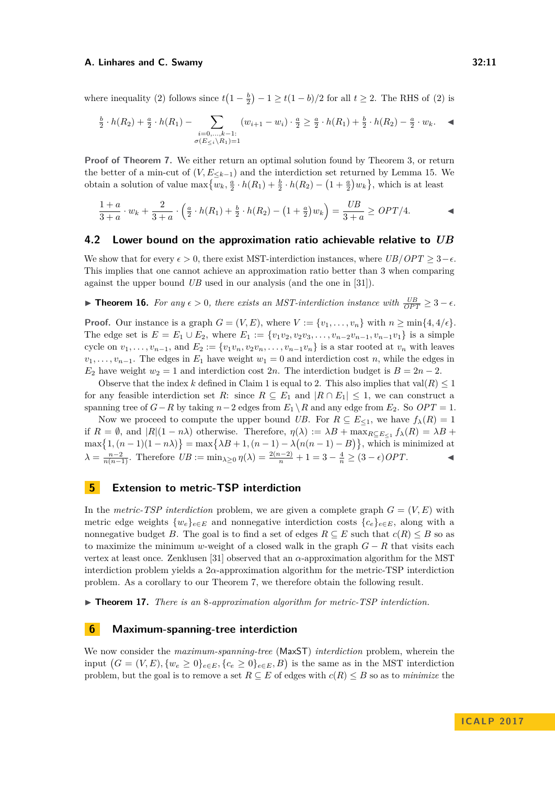where inequality [\(2\)](#page-9-2) follows since  $t(1-\frac{b}{2})-1 \ge t(1-b)/2$  for all  $t \ge 2$ . The RHS of (2) is

$$
\frac{b}{2} \cdot h(R_2) + \frac{a}{2} \cdot h(R_1) - \sum_{\substack{i=0,\dots,k-1:\\ \sigma(E_{\le i} \setminus R_1) = 1}} (w_{i+1} - w_i) \cdot \frac{a}{2} \ge \frac{a}{2} \cdot h(R_1) + \frac{b}{2} \cdot h(R_2) - \frac{a}{2} \cdot w_k.
$$

**Proof of Theorem [7.](#page-6-0)** We either return an optimal solution found by Theorem [3,](#page-5-2) or return the better of a min-cut of  $(V, E<sub>k-1</sub>)$  and the interdiction set returned by Lemma [15.](#page-9-1) We obtain a solution of value  $\max\{w_k, \frac{a}{2} \cdot h(R_1) + \frac{b}{2} \cdot h(R_2) - (1 + \frac{a}{2})w_k\}$ , which is at least

$$
\frac{1+a}{3+a} \cdot w_k + \frac{2}{3+a} \cdot \left(\frac{a}{2} \cdot h(R_1) + \frac{b}{2} \cdot h(R_2) - (1+\frac{a}{2})w_k\right) = \frac{UB}{3+a} \ge OPT/4.
$$

### <span id="page-10-3"></span>**4.2 Lower bound on the approximation ratio achievable relative to** *UB*

We show that for every  $\epsilon > 0$ , there exist MST-interdiction instances, where *UB/OPT*  $\geq 3-\epsilon$ . This implies that one cannot achieve an approximation ratio better than 3 when comparing against the upper bound *UB* used in our analysis (and the one in [\[31\]](#page-13-0)).

<span id="page-10-0"></span>**► Theorem 16.** For any  $\epsilon > 0$ , there exists an MST-interdiction instance with  $\frac{UB}{OPT} \geq 3 - \epsilon$ .

**Proof.** Our instance is a graph  $G = (V, E)$ , where  $V := \{v_1, \ldots, v_n\}$  with  $n \ge \min\{4, 4/\epsilon\}.$ The edge set is  $E = E_1 \cup E_2$ , where  $E_1 := \{v_1v_2, v_2v_3, \ldots, v_{n-2}v_{n-1}, v_{n-1}v_1\}$  is a simple cycle on  $v_1, \ldots, v_{n-1}$ , and  $E_2 := \{v_1v_n, v_2v_n, \ldots, v_{n-1}v_n\}$  is a star rooted at  $v_n$  with leaves  $v_1, \ldots, v_{n-1}$ . The edges in  $E_1$  have weight  $w_1 = 0$  and interdiction cost *n*, while the edges in *E*<sub>2</sub> have weight  $w_2 = 1$  and interdiction cost 2*n*. The interdiction budget is  $B = 2n - 2$ .

Observe that the index *k* defined in Claim [1](#page-4-1) is equal to 2. This also implies that  $val(R) \leq 1$ for any feasible interdiction set *R*: since  $R \subseteq E_1$  and  $|R \cap E_1| \leq 1$ , we can construct a spanning tree of  $G-R$  by taking  $n-2$  edges from  $E_1 \setminus R$  and any edge from  $E_2$ . So  $OPT = 1$ .

Now we proceed to compute the upper bound *UB*. For  $R \subseteq E_{\leq 1}$ , we have  $f_{\lambda}(R) = 1$ if  $R = \emptyset$ , and  $|R|(1 - n\lambda)$  otherwise. Therefore,  $\eta(\lambda) := \lambda B + \max_{R \subseteq E_{\leq 1}} f_{\lambda}(R) = \lambda B +$  $\max\{1, (n-1)(1-n\lambda)\} = \max\{\lambda B + 1, (n-1) - \lambda(n(n-1) - B)\}$ , which is minimized at  $\lambda = \frac{n-2}{n(n-1)}$ . Therefore  $UB := \min_{\lambda \geq 0} \eta(\lambda) = \frac{2(n-2)}{n} + 1 = 3 - \frac{4}{n} \geq (3 - \epsilon)OPT$ .

# <span id="page-10-1"></span>**5 Extension to metric-TSP interdiction**

In the *metric-TSP interdiction* problem, we are given a complete graph  $G = (V, E)$  with metric edge weights  $\{w_e\}_{e \in E}$  and nonnegative interdiction costs  $\{c_e\}_{e \in E}$ , along with a nonnegative budget *B*. The goal is to find a set of edges  $R \subseteq E$  such that  $c(R) \leq B$  so as to maximize the minimum *w*-weight of a closed walk in the graph  $G - R$  that visits each vertex at least once. Zenklusen [\[31\]](#page-13-0) observed that an *α*-approximation algorithm for the MST interdiction problem yields a 2*α*-approximation algorithm for the metric-TSP interdiction problem. As a corollary to our Theorem [7,](#page-6-0) we therefore obtain the following result.

▶ **Theorem 17.** *There is an* 8*-approximation algorithm for metric-TSP interdiction.* 

# <span id="page-10-2"></span>**6 Maximum-spanning-tree interdiction**

We now consider the *maximum-spanning-tree* (MaxST) *interdiction* problem, wherein the input  $(G = (V, E), \{w_e \ge 0\}_{e \in E}, \{c_e \ge 0\}_{e \in E}, B)$  is the same as in the MST interdiction problem, but the goal is to remove a set  $R \subseteq E$  of edges with  $c(R) \leq B$  so as to *minimize* the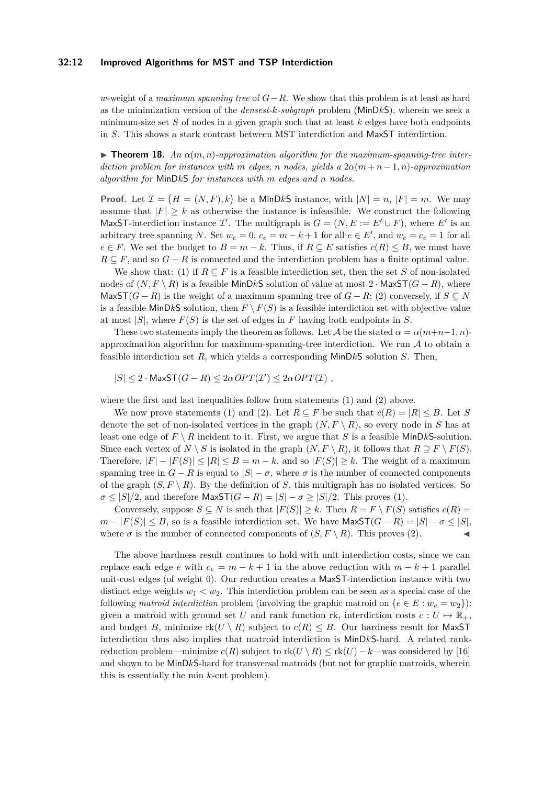#### **32:12 Improved Algorithms for MST and TSP Interdiction**

*w*-weight of a *maximum spanning tree* of *G*−*R*. We show that this problem is at least as hard as the minimization version of the *densest-k-subgraph* problem (MinD*k*S), wherein we seek a minimum-size set *S* of nodes in a given graph such that at least *k* edges have both endpoints in *S*. This shows a stark contrast between MST interdiction and MaxST interdiction.

**Findment 18.** An  $\alpha(m, n)$ -approximation algorithm for the maximum-spanning-tree inter*diction problem for instances with m edges, n nodes, yields* a  $2\alpha(m+n-1,n)$ *-approximation algorithm for* MinD*k*S *for instances with m edges and n nodes.*

**Proof.** Let  $\mathcal{I} = (H = (N, F), k)$  be a MinDkS instance, with  $|N| = n$ ,  $|F| = m$ . We may assume that  $|F| > k$  as otherwise the instance is infeasible. We construct the following MaxST-interdiction instance  $\mathcal{I}'$ . The multigraph is  $G = (N, E := E' \cup F)$ , where E' is an arbitrary tree spanning *N*. Set  $w_e = 0$ ,  $c_e = m - k + 1$  for all  $e \in E'$ , and  $w_e = c_e = 1$  for all *e* ∈ *F*. We set the budget to *B* = *m* − *k*. Thus, if  $R \subseteq E$  satisfies  $c(R) \leq B$ , we must have  $R \subseteq F$ , and so  $G - R$  is connected and the interdiction problem has a finite optimal value.

We show that: (1) if  $R \subseteq F$  is a feasible interdiction set, then the set *S* of non-isolated nodes of  $(N, F \setminus R)$  is a feasible MinDkS solution of value at most 2 · MaxST $(G - R)$ , where Max $ST(G - R)$  is the weight of a maximum spanning tree of  $G - R$ ; (2) conversely, if  $S \subseteq N$ is a feasible MinDkS solution, then  $F \setminus F(S)$  is a feasible interdiction set with objective value at most  $|S|$ , where  $F(S)$  is the set of edges in  $F$  having both endpoints in  $S$ .

These two statements imply the theorem as follows. Let  $\mathcal A$  be the stated  $\alpha = \alpha(m+n-1, n)$ approximation algorithm for maximum-spanning-tree interdiction. We run  $A$  to obtain a feasible interdiction set *R*, which yields a corresponding MinD*k*S solution *S*. Then,

 $|S| \leq 2 \cdot \textsf{MaxST}(G - R) \leq 2\alpha \textit{OPT}(\mathcal{I}') \leq 2\alpha \textit{OPT}(\mathcal{I})$ ,

where the first and last inequalities follow from statements (1) and (2) above.

We now prove statements (1) and (2). Let  $R \subseteq F$  be such that  $c(R) = |R| \leq B$ . Let *S* denote the set of non-isolated vertices in the graph  $(N, F \setminus R)$ , so every node in *S* has at least one edge of  $F \setminus R$  incident to it. First, we argue that *S* is a feasible MinDkS-solution. Since each vertex of  $N \setminus S$  is isolated in the graph  $(N, F \setminus R)$ , it follows that  $R \supseteq F \setminus F(S)$ . Therefore,  $|F| - |F(S)| \leq |R| \leq B = m - k$ , and so  $|F(S)| \geq k$ . The weight of a maximum spanning tree in  $G - R$  is equal to  $|S| - \sigma$ , where  $\sigma$  is the number of connected components of the graph  $(S, F \setminus R)$ . By the definition of *S*, this multigraph has no isolated vertices. So  $\sigma \leq |S|/2$ , and therefore MaxST $(G - R) = |S| - \sigma \geq |S|/2$ . This proves (1).

Conversely, suppose  $S \subseteq N$  is such that  $|F(S)| \geq k$ . Then  $R = F \setminus F(S)$  satisfies  $c(R) =$ *m* −  $|F(S)|$  ≤ *B*, so is a feasible interdiction set. We have MaxST(*G* − *R*) =  $|S|$  −  $\sigma$  ≤  $|S|$ , where  $\sigma$  is the number of connected components of  $(S, F \setminus R)$ . This proves (2).

The above hardness result continues to hold with unit interdiction costs, since we can replace each edge *e* with  $c_e = m - k + 1$  in the above reduction with  $m - k + 1$  parallel unit-cost edges (of weight 0). Our reduction creates a MaxST-interdiction instance with two distinct edge weights  $w_1 < w_2$ . This interdiction problem can be seen as a special case of the following *matroid interdiction* problem (involving the graphic matroid on  $\{e \in E : w_e = w_2\}$ ): given a matroid with ground set *U* and rank function rk, interdiction costs  $c: U \mapsto \mathbb{R}_+$ , and budget *B*, minimize  $rk(U \setminus R)$  subject to  $c(R) \leq B$ . Our hardness result for MaxST interdiction thus also implies that matroid interdiction is MinD*k*S-hard. A related rankreduction problem—minimize  $c(R)$  subject to  $rk(U \setminus R) \leq rk(U) - k$ —was considered by [\[16\]](#page-12-17) and shown to be MinD*k*S-hard for transversal matroids (but not for graphic matroids, wherein this is essentially the min *k*-cut problem).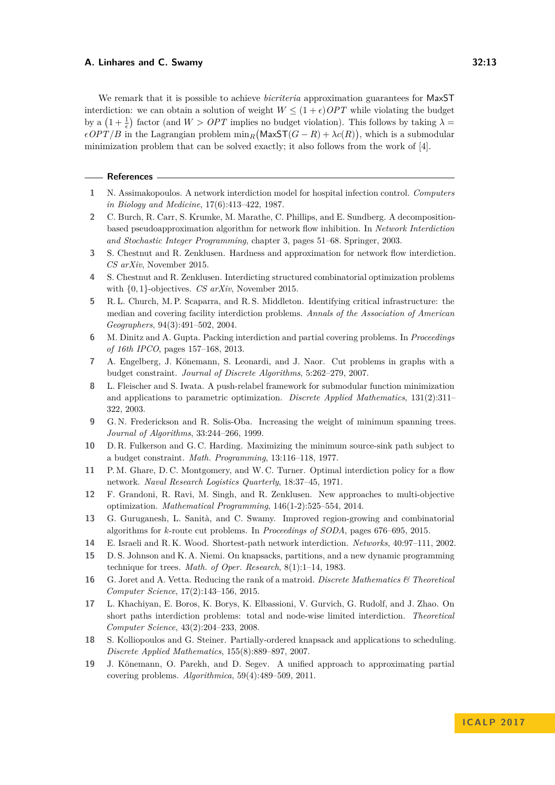We remark that it is possible to achieve *bicriteria* approximation guarantees for MaxST interdiction: we can obtain a solution of weight  $W \leq (1 + \epsilon) OPT$  while violating the budget by a  $(1 + \frac{1}{\epsilon})$  factor (and  $W > OPT$  implies no budget violation). This follows by taking  $\lambda =$  $\epsilon$ *OPT/B* in the Lagrangian problem  $\min_R (\text{MaxST}(G - R) + \lambda c(R))$ , which is a submodular minimization problem that can be solved exactly; it also follows from the work of [\[4\]](#page-12-18).

#### **References**

- <span id="page-12-2"></span>**1** N. Assimakopoulos. A network interdiction model for hospital infection control. *Computers in Biology and Medicine*, 17(6):413–422, 1987.
- <span id="page-12-4"></span>**2** C. Burch, R. Carr, S. Krumke, M. Marathe, C. Phillips, and E. Sundberg. A decompositionbased pseudoapproximation algorithm for network flow inhibition. In *Network Interdiction and Stochastic Integer Programming*, chapter 3, pages 51–68. Springer, 2003.
- <span id="page-12-6"></span>**3** S. Chestnut and R. Zenklusen. Hardness and approximation for network flow interdiction. *CS arXiv*, November 2015.
- <span id="page-12-18"></span>**4** S. Chestnut and R. Zenklusen. Interdicting structured combinatorial optimization problems with {0*,* 1}-objectives. *CS arXiv*, November 2015.
- <span id="page-12-1"></span>**5** R. L. Church, M. P. Scaparra, and R. S. Middleton. Identifying critical infrastructure: the median and covering facility interdiction problems. *Annals of the Association of American Geographers*, 94(3):491–502, 2004.
- <span id="page-12-10"></span>**6** M. Dinitz and A. Gupta. Packing interdiction and partial covering problems. In *Proceedings of 16th IPCO*, pages 157–168, 2013.
- <span id="page-12-12"></span>**7** A. Engelberg, J. Könemann, S. Leonardi, and J. Naor. Cut problems in graphs with a budget constraint. *Journal of Discrete Algorithms*, 5:262–279, 2007.
- <span id="page-12-16"></span>**8** L. Fleischer and S. Iwata. A push-relabel framework for submodular function minimization and applications to parametric optimization. *Discrete Applied Mathematics*, 131(2):311– 322, 2003.
- <span id="page-12-0"></span>**9** G. N. Frederickson and R. Solis-Oba. Increasing the weight of minimum spanning trees. *Journal of Algorithms*, 33:244–266, 1999.
- <span id="page-12-7"></span>**10** D. R. Fulkerson and G. C. Harding. Maximizing the minimum source-sink path subject to a budget constraint. *Math. Programming*, 13:116–118, 1977.
- <span id="page-12-3"></span>**11** P. M. Ghare, D. C. Montgomery, and W. C. Turner. Optimal interdiction policy for a flow network. *Naval Research Logistics Quarterly*, 18:37–45, 1971.
- <span id="page-12-15"></span>**12** F. Grandoni, R. Ravi, M. Singh, and R. Zenklusen. New approaches to multi-objective optimization. *Mathematical Programming*, 146(1-2):525–554, 2014.
- <span id="page-12-5"></span>**13** G. Guruganesh, L. Sanità, and C. Swamy. Improved region-growing and combinatorial algorithms for *k*-route cut problems. In *Proceedings of SODA*, pages 676–695, 2015.
- <span id="page-12-8"></span>**14** E. Israeli and R. K. Wood. Shortest-path network interdiction. *Networks*, 40:97–111, 2002.
- <span id="page-12-11"></span>**15** D. S. Johnson and K. A. Niemi. On knapsacks, partitions, and a new dynamic programming technique for trees. *Math. of Oper. Research*, 8(1):1–14, 1983.
- <span id="page-12-17"></span>**16** G. Joret and A. Vetta. Reducing the rank of a matroid. *Discrete Mathematics & Theoretical Computer Science*, 17(2):143–156, 2015.
- <span id="page-12-9"></span>**17** L. Khachiyan, E. Boros, K. Borys, K. Elbassioni, V. Gurvich, G. Rudolf, and J. Zhao. On short paths interdiction problems: total and node-wise limited interdiction. *Theoretical Computer Science*, 43(2):204–233, 2008.
- <span id="page-12-13"></span>**18** S. Kolliopoulos and G. Steiner. Partially-ordered knapsack and applications to scheduling. *Discrete Applied Mathematics*, 155(8):889–897, 2007.
- <span id="page-12-14"></span>**19** J. Könemann, O. Parekh, and D. Segev. A unified approach to approximating partial covering problems. *Algorithmica*, 59(4):489–509, 2011.